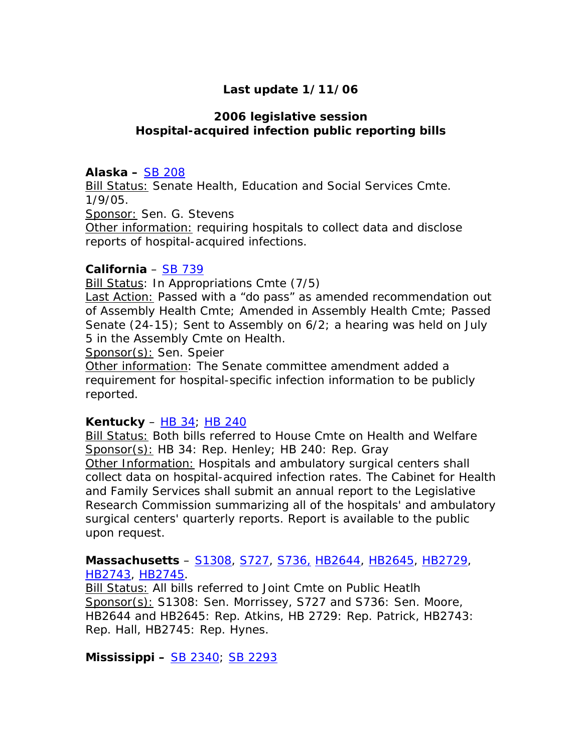# **Last update 1/11/06**

# **2006 legislative session Hospital-acquired infection public reporting bills**

### **Alaska –** [SB 208](http://www.legis.state.ak.us/PDF/24/Bills/SB0208A.PDF)

Bill Status: Senate Health, Education and Social Services Cmte. 1/9/05.

Sponsor: Sen. G. Stevens

Other information: requiring hospitals to collect data and disclose reports of hospital-acquired infections.

## **California** – [SB 739](http://info.sen.ca.gov/pub/bill/sen/sb_0701-0750/sb_739_bill_20050713_amended_asm.html)

Bill Status: In Appropriations Cmte (7/5)

Last Action: Passed with a "do pass" as amended recommendation out of Assembly Health Cmte; Amended in Assembly Health Cmte; Passed Senate (24-15); Sent to Assembly on 6/2; a hearing was held on July 5 in the Assembly Cmte on Health.

Sponsor(s): Sen. Speier

Other information: The Senate committee amendment added a requirement for hospital-specific infection information to be publicly reported.

# **Kentucky** – [HB 34](#page-2-0); [HB 240](#page-4-0)

Bill Status: Both bills referred to House Cmte on Health and Welfare Sponsor(s): HB 34: Rep. Henley; HB 240: Rep. Gray Other Information: Hospitals and ambulatory surgical centers shall collect data on hospital-acquired infection rates. The Cabinet for Health and Family Services shall submit an annual report to the Legislative Research Commission summarizing all of the hospitals' and ambulatory surgical centers' quarterly reports. Report is available to the public upon request.

#### **Massachusetts** – [S1308,](http://www.mass.gov/legis/bills/senate/st01/st01308.htm) [S727](http://www.mass.gov/legis/bills/senate/st00/st00727.htm), [S736,](http://www.mass.gov/legis/bills/senate/st00/st00736.htm) [HB2644](http://www.mass.gov/legis/bills/house/ht02/ht02644.htm), [HB2645,](http://www.mass.gov/legis/bills/house/ht02/ht02645.htm) [HB2729](http://www.mass.gov/legis/bills/house/ht02/ht02729.htm), [HB2743,](http://www.mass.gov/legis/bills/house/ht02/ht02743.htm) [HB2745](http://www.mass.gov/legis/bills/house/ht02/ht02745.htm).

Bill Status: All bills referred to Joint Cmte on Public Heatlh Sponsor(s): S1308: Sen. Morrissey, S727 and S736: Sen. Moore, HB2644 and HB2645: Rep. Atkins, HB 2729: Rep. Patrick, HB2743: Rep. Hall, HB2745: Rep. Hynes.

**Mississippi –** [SB 2340;](http://www.state.ms.us/frameset.jsp?URL=http%3A%2F%2Fwww.ls.state.ms.us) [SB 2293](http://www.state.ms.us/frameset.jsp?URL=http%3A%2F%2Fwww.ls.state.ms.us)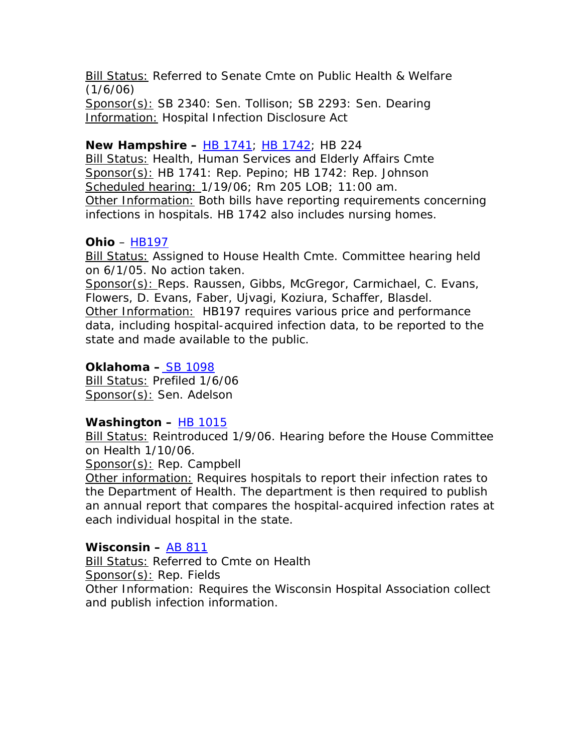Bill Status: Referred to Senate Cmte on Public Health & Welfare  $(1/6/06)$ Sponsor(s): SB 2340: Sen. Tollison; SB 2293: Sen. Dearing **Information: Hospital Infection Disclosure Act** 

### **New Hampshire –** [HB 1741;](http://www.gencourt.state.nh.us/legislation/2006/HB1741.html) [HB 1742](http://www.gencourt.state.nh.us/legislation/2006/HB1742.html); HB 224

Bill Status: Health, Human Services and Elderly Affairs Cmte Sponsor(s): HB 1741: Rep. Pepino; HB 1742: Rep. Johnson Scheduled hearing: 1/19/06; Rm 205 LOB; 11:00 am. Other Information: Both bills have reporting requirements concerning infections in hospitals. HB 1742 also includes nursing homes.

#### **Ohio** – [HB197](http://www.legislature.state.oh.us/bills.cfm?ID=126_HB_197)

Bill Status: Assigned to House Health Cmte. Committee hearing held on 6/1/05. No action taken.

Sponsor(s): Reps. Raussen, Gibbs, McGregor, Carmichael, C. Evans, Flowers, D. Evans, Faber, Ujvagi, Koziura, Schaffer, Blasdel. Other Information: HB197 requires various price and performance data, including hospital-acquired infection data, to be reported to the state and made available to the public.

## **Oklahoma –** [SB 1098](http://webserver1.lsb.state.ok.us/)

Bill Status: Prefiled 1/6/06 Sponsor(s): Sen. Adelson

#### Washington - HB [1015](http://www.leg.wa.gov/pub/billinfo/2005-06/Pdf/Bills/House Bills/1015.pdf)

Bill Status: Reintroduced 1/9/06. Hearing before the House Committee on Health 1/10/06.

Sponsor(s): Rep. Campbell

Other information: Requires hospitals to report their infection rates to the Department of Health. The department is then required to publish an annual report that compares the hospital-acquired infection rates at each individual hospital in the state.

#### **Wisconsin –** [AB 811](http://www.legis.state.wi.us/2005/data/AB-811.pdf)

Bill Status: Referred to Cmte on Health Sponsor(s): Rep. Fields Other Information: Requires the Wisconsin Hospital Association collect and publish infection information.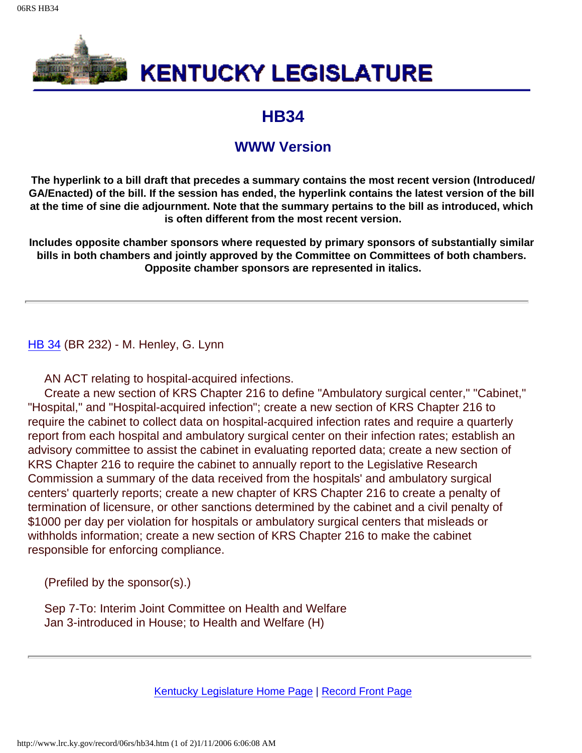<span id="page-2-0"></span>

# **HB34**

# **WWW Version**

**The hyperlink to a bill draft that precedes a summary contains the most recent version (Introduced/ GA/Enacted) of the bill. If the session has ended, the hyperlink contains the latest version of the bill at the time of sine die adjournment. Note that the summary pertains to the bill as introduced, which is often different from the most recent version.**

**Includes opposite chamber sponsors where requested by primary sponsors of substantially similar bills in both chambers and jointly approved by the Committee on Committees of both chambers. Opposite chamber sponsors are represented in italics.**

#### [HB 34](http://www.lrc.ky.gov/record/06rs/HB34/bill.doc) (BR 232) - M. Henley, G. Lynn

AN ACT relating to hospital-acquired infections.

 Create a new section of KRS Chapter 216 to define "Ambulatory surgical center," "Cabinet," "Hospital," and "Hospital-acquired infection"; create a new section of KRS Chapter 216 to require the cabinet to collect data on hospital-acquired infection rates and require a quarterly report from each hospital and ambulatory surgical center on their infection rates; establish an advisory committee to assist the cabinet in evaluating reported data; create a new section of KRS Chapter 216 to require the cabinet to annually report to the Legislative Research Commission a summary of the data received from the hospitals' and ambulatory surgical centers' quarterly reports; create a new chapter of KRS Chapter 216 to create a penalty of termination of licensure, or other sanctions determined by the cabinet and a civil penalty of \$1000 per day per violation for hospitals or ambulatory surgical centers that misleads or withholds information; create a new section of KRS Chapter 216 to make the cabinet responsible for enforcing compliance.

(Prefiled by the sponsor(s).)

 Sep 7-To: Interim Joint Committee on Health and Welfare Jan 3-introduced in House; to Health and Welfare (H)

[Kentucky Legislature Home Page](http://www.lrc.state.ky.us/home.htm) | [Record Front Page](http://www.lrc.ky.gov/record/06rs/record.htm)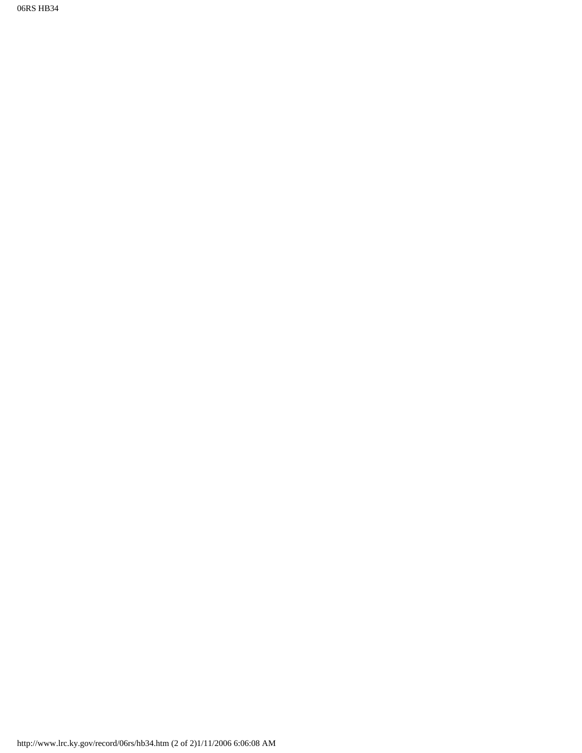06RS HB34